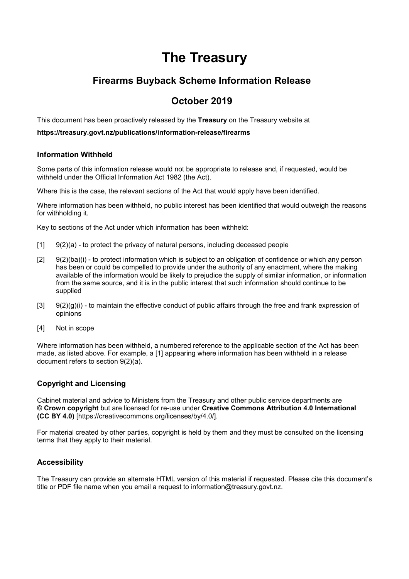# **The Treasury**

# **Firearms Buyback Scheme Information Release**

# **October 2019**

This document has been proactively released by the **Treasury** on the Treasury website at

**https://treasury.govt.nz/publications/information-release/firearms**

### **Information Withheld**

Some parts of this information release would not be appropriate to release and, if requested, would be withheld under the Official Information Act 1982 (the Act).

Where this is the case, the relevant sections of the Act that would apply have been identified.

Where information has been withheld, no public interest has been identified that would outweigh the reasons for withholding it.

Key to sections of the Act under which information has been withheld:

- [1] 9(2)(a) to protect the privacy of natural persons, including deceased people
- [2] 9(2)(ba)(i) to protect information which is subject to an obligation of confidence or which any person has been or could be compelled to provide under the authority of any enactment, where the making available of the information would be likely to prejudice the supply of similar information, or information from the same source, and it is in the public interest that such information should continue to be supplied
- $[3]$  9(2)(g)(i) to maintain the effective conduct of public affairs through the free and frank expression of opinions
- [4] Not in scope

Where information has been withheld, a numbered reference to the applicable section of the Act has been made, as listed above. For example, a [1] appearing where information has been withheld in a release document refers to section 9(2)(a).

### **Copyright and Licensing**

Cabinet material and advice to Ministers from the Treasury and other public service departments are **© Crown copyright** but are licensed for re-use under **Creative Commons Attribution 4.0 International (CC BY 4.0)** [https://creativecommons.org/licenses/by/4.0/].

For material created by other parties, copyright is held by them and they must be consulted on the licensing terms that they apply to their material.

### **Accessibility**

The Treasury can provide an alternate HTML version of this material if requested. Please cite this document's title or PDF file name when you email a request to information@treasury.govt.nz.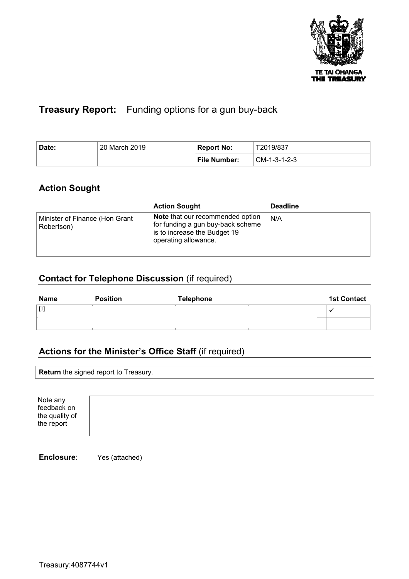

# **Treasury Report:** Funding options for a gun buy-back

| 20 March 2019<br>Date: |  | <b>Report No:</b>   | T2019/837    |
|------------------------|--|---------------------|--------------|
|                        |  | <b>File Number:</b> | CM-1-3-1-2-3 |

## **Action Sought**

|                                              | <b>Action Sought</b>                                                                                                                 | <b>Deadline</b> |
|----------------------------------------------|--------------------------------------------------------------------------------------------------------------------------------------|-----------------|
| Minister of Finance (Hon Grant<br>Robertson) | <b>Note</b> that our recommended option<br>for funding a gun buy-back scheme<br>is to increase the Budget 19<br>operating allowance. | N/A             |

# **Contact for Telephone Discussion** (if required)

| <b>Name</b> | <b>Position</b> | Telephone | <b>1st Contact</b> |
|-------------|-----------------|-----------|--------------------|
| [1]         |                 |           |                    |
|             |                 |           |                    |

## **Actions for the Minister's Office Staff** (if required)

| <b>Return</b> the signed report to Treasury. |
|----------------------------------------------|
|                                              |

| Note any<br>feedback on<br>the quality of<br>the report |  |  |  |  |
|---------------------------------------------------------|--|--|--|--|
|---------------------------------------------------------|--|--|--|--|

**Enclosure**: Yes (attached)

Treasury:4087744v1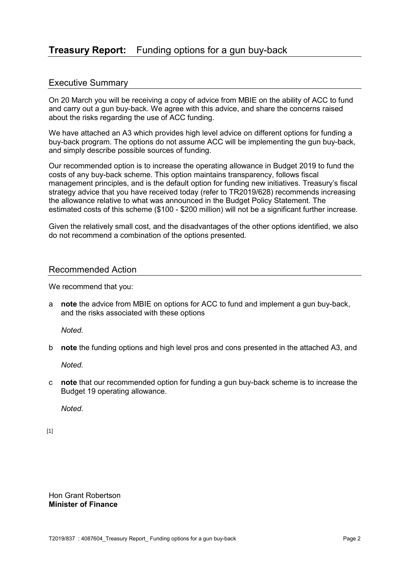### Executive Summary

On 20 March you will be receiving a copy of advice from MBIE on the ability of ACC to fund and carry out a gun buy-back. We agree with this advice, and share the concerns raised about the risks regarding the use of ACC funding.

We have attached an A3 which provides high level advice on different options for funding a buy-back program. The options do not assume ACC will be implementing the gun buy-back, and simply describe possible sources of funding.

Our recommended option is to increase the operating allowance in Budget 2019 to fund the costs of any buy-back scheme. This option maintains transparency, follows fiscal management principles, and is the default option for funding new initiatives. Treasury's fiscal strategy advice that you have received today (refer to TR2019/628) recommends increasing the allowance relative to what was announced in the Budget Policy Statement. The estimated costs of this scheme (\$100 - \$200 million) will not be a significant further increase.

Given the relatively small cost, and the disadvantages of the other options identified, we also do not recommend a combination of the options presented.

### Recommended Action

We recommend that you:

a **note** the advice from MBIE on options for ACC to fund and implement a gun buy-back, and the risks associated with these options

 *Noted.* 

b **note** the funding options and high level pros and cons presented in the attached A3, and

 *Noted.* 

c **note** that our recommended option for funding a gun buy-back scheme is to increase the Budget 19 operating allowance.

 *Noted.* 

[1]

Hon Grant Robertson **Minister of Finance**